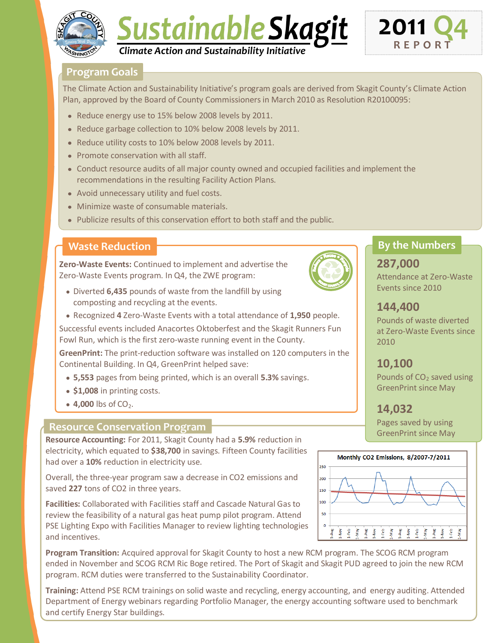





## **Program Goals**

The Climate Action and Sustainability Initiative's program goals are derived from Skagit County's Climate Action Plan, approved by the Board of County Commissioners in March 2010 as Resolution R20100095:

- Reduce energy use to 15% below 2008 levels by 2011.
- Reduce garbage collection to 10% below 2008 levels by 2011.
- Reduce utility costs to 10% below 2008 levels by 2011.
- Promote conservation with all staff.
- Conduct resource audits of all major county owned and occupied facilities and implement the recommendations in the resulting Facility Action Plans.
- Avoid unnecessary utility and fuel costs.
- Minimize waste of consumable materials.
- Publicize results of this conservation effort to both staff and the public.

## **Waste Reduction**

**Zero-Waste Events:** Continued to implement and advertise the Zero-Waste Events program. In Q4, the ZWE program:

- Diverted **6,435** pounds of waste from the landfill by using composting and recycling at the events.
- Recognized **4** Zero-Waste Events with a total attendance of **1,950** people.

Successful events included Anacortes Oktoberfest and the Skagit Runners Fun Fowl Run, which is the first zero-waste running event in the County.

**GreenPrint:** The print-reduction software was installed on 120 computers in the Continental Building. In Q4, GreenPrint helped save:

- **5,553** pages from being printed, which is an overall **5.3%** savings.
- **\$1,008** in printing costs.
- $\bullet$  4,000 lbs of CO<sub>2</sub>.

### **Resource Conservation Program**

**Resource Accounting:** For 2011, Skagit County had a **5.9%** reduction in electricity, which equated to **\$38,700** in savings. Fifteen County facilities had over a **10%** reduction in electricity use.

Overall, the three-year program saw a decrease in CO2 emissions and saved **227** tons of CO2 in three years.

**Facilities:** Collaborated with Facilities staff and Cascade Natural Gas to review the feasibility of a natural gas heat pump pilot program. Attend PSE Lighting Expo with Facilities Manager to review lighting technologies and incentives.

**Program Transition:** Acquired approval for Skagit County to host a new RCM program. The SCOG RCM program ended in November and SCOG RCM Ric Boge retired. The Port of Skagit and Skagit PUD agreed to join the new RCM program. RCM duties were transferred to the Sustainability Coordinator.

**Training:** Attend PSE RCM trainings on solid waste and recycling, energy accounting, and energy auditing. Attended Department of Energy webinars regarding Portfolio Manager, the energy accounting software used to benchmark and certify Energy Star buildings.



## **By the Numbers**

# **287,000**

Attendance at Zero-Waste Events since 2010

# **144,400**

Pounds of waste diverted at Zero-Waste Events since 2010

# **10,100**

Pounds of  $CO<sub>2</sub>$  saved using GreenPrint since May

# **14,032**

Pages saved by using GreenPrint since May